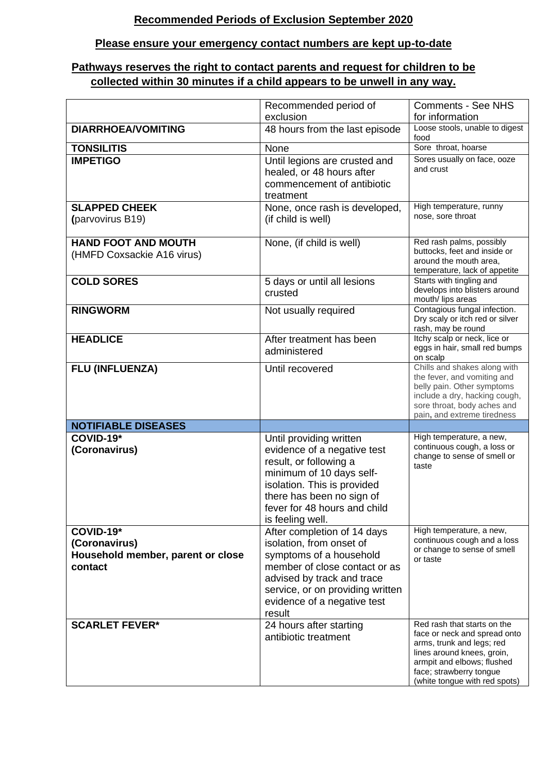## **Recommended Periods of Exclusion September 2020**

## **Please ensure your emergency contact numbers are kept up-to-date**

## **Pathways reserves the right to contact parents and request for children to be collected within 30 minutes if a child appears to be unwell in any way.**

|                                                                            | Recommended period of                                                                                                                                                                                                          | <b>Comments - See NHS</b>                                                                                                                                                                                        |
|----------------------------------------------------------------------------|--------------------------------------------------------------------------------------------------------------------------------------------------------------------------------------------------------------------------------|------------------------------------------------------------------------------------------------------------------------------------------------------------------------------------------------------------------|
|                                                                            | exclusion                                                                                                                                                                                                                      | for information                                                                                                                                                                                                  |
| <b>DIARRHOEA/VOMITING</b>                                                  | 48 hours from the last episode                                                                                                                                                                                                 | Loose stools, unable to digest<br>food                                                                                                                                                                           |
| <b>TONSILITIS</b>                                                          | None                                                                                                                                                                                                                           | Sore throat, hoarse                                                                                                                                                                                              |
| <b>IMPETIGO</b>                                                            | Until legions are crusted and<br>healed, or 48 hours after<br>commencement of antibiotic<br>treatment                                                                                                                          | Sores usually on face, ooze<br>and crust                                                                                                                                                                         |
| <b>SLAPPED CHEEK</b><br>(parvovirus B19)                                   | None, once rash is developed,<br>(if child is well)                                                                                                                                                                            | High temperature, runny<br>nose, sore throat                                                                                                                                                                     |
| <b>HAND FOOT AND MOUTH</b><br>(HMFD Coxsackie A16 virus)                   | None, (if child is well)                                                                                                                                                                                                       | Red rash palms, possibly<br>buttocks, feet and inside or<br>around the mouth area,<br>temperature, lack of appetite                                                                                              |
| <b>COLD SORES</b>                                                          | 5 days or until all lesions<br>crusted                                                                                                                                                                                         | Starts with tingling and<br>develops into blisters around<br>mouth/ lips areas                                                                                                                                   |
| <b>RINGWORM</b>                                                            | Not usually required                                                                                                                                                                                                           | Contagious fungal infection.<br>Dry scaly or itch red or silver<br>rash, may be round                                                                                                                            |
| <b>HEADLICE</b>                                                            | After treatment has been<br>administered                                                                                                                                                                                       | Itchy scalp or neck, lice or<br>eggs in hair, small red bumps<br>on scalp                                                                                                                                        |
| FLU (INFLUENZA)                                                            | Until recovered                                                                                                                                                                                                                | Chills and shakes along with<br>the fever, and vomiting and<br>belly pain. Other symptoms<br>include a dry, hacking cough,<br>sore throat, body aches and<br>pain, and extreme tiredness                         |
| <b>NOTIFIABLE DISEASES</b>                                                 |                                                                                                                                                                                                                                |                                                                                                                                                                                                                  |
| $COVID-19*$<br>(Coronavirus)                                               | Until providing written<br>evidence of a negative test<br>result, or following a<br>minimum of 10 days self-<br>isolation. This is provided<br>there has been no sign of<br>fever for 48 hours and child<br>is feeling well.   | High temperature, a new,<br>continuous cough, a loss or<br>change to sense of smell or<br>taste                                                                                                                  |
| COVID-19*<br>(Coronavirus)<br>Household member, parent or close<br>contact | After completion of 14 days<br>isolation, from onset of<br>symptoms of a household<br>member of close contact or as<br>advised by track and trace<br>service, or on providing written<br>evidence of a negative test<br>result | High temperature, a new,<br>continuous cough and a loss<br>or change to sense of smell<br>or taste                                                                                                               |
| <b>SCARLET FEVER*</b>                                                      | 24 hours after starting<br>antibiotic treatment                                                                                                                                                                                | Red rash that starts on the<br>face or neck and spread onto<br>arms, trunk and legs; red<br>lines around knees, groin,<br>armpit and elbows; flushed<br>face; strawberry tongue<br>(white tongue with red spots) |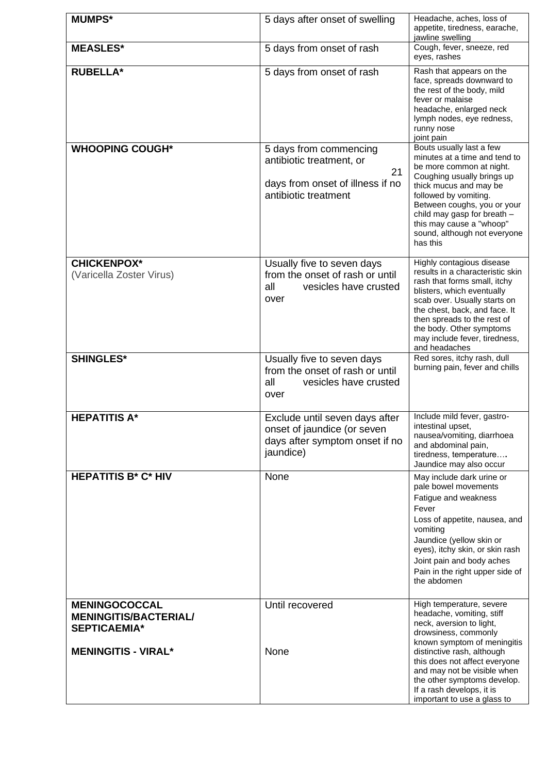| <b>MUMPS*</b>                                                                                             | 5 days after onset of swelling                                                                                       | Headache, aches, loss of<br>appetite, tiredness, earache,<br>jawline swelling                                                                                                                                                                                                                                                     |
|-----------------------------------------------------------------------------------------------------------|----------------------------------------------------------------------------------------------------------------------|-----------------------------------------------------------------------------------------------------------------------------------------------------------------------------------------------------------------------------------------------------------------------------------------------------------------------------------|
| <b>MEASLES*</b>                                                                                           | 5 days from onset of rash                                                                                            | Cough, fever, sneeze, red<br>eyes, rashes                                                                                                                                                                                                                                                                                         |
| <b>RUBELLA*</b>                                                                                           | 5 days from onset of rash                                                                                            | Rash that appears on the<br>face, spreads downward to<br>the rest of the body, mild<br>fever or malaise<br>headache, enlarged neck<br>lymph nodes, eye redness,<br>runny nose<br>joint pain                                                                                                                                       |
| <b>WHOOPING COUGH*</b>                                                                                    | 5 days from commencing<br>antibiotic treatment, or<br>21<br>days from onset of illness if no<br>antibiotic treatment | Bouts usually last a few<br>minutes at a time and tend to<br>be more common at night.<br>Coughing usually brings up<br>thick mucus and may be<br>followed by vomiting.<br>Between coughs, you or your<br>child may gasp for breath -<br>this may cause a "whoop"<br>sound, although not everyone<br>has this                      |
| <b>CHICKENPOX*</b><br>(Varicella Zoster Virus)                                                            | Usually five to seven days<br>from the onset of rash or until<br>all<br>vesicles have crusted<br>over                | Highly contagious disease<br>results in a characteristic skin<br>rash that forms small, itchy<br>blisters, which eventually<br>scab over. Usually starts on<br>the chest, back, and face. It<br>then spreads to the rest of<br>the body. Other symptoms<br>may include fever, tiredness,<br>and headaches                         |
| <b>SHINGLES*</b>                                                                                          | Usually five to seven days<br>from the onset of rash or until<br>all<br>vesicles have crusted<br>over                | Red sores, itchy rash, dull<br>burning pain, fever and chills                                                                                                                                                                                                                                                                     |
| <b>HEPATITIS A*</b>                                                                                       | Exclude until seven days after<br>onset of jaundice (or seven<br>days after symptom onset if no<br>jaundice)         | Include mild fever, gastro-<br>intestinal upset,<br>nausea/vomiting, diarrhoea<br>and abdominal pain,<br>tiredness, temperature<br>Jaundice may also occur                                                                                                                                                                        |
| <b>HEPATITIS B* C* HIV</b>                                                                                | None                                                                                                                 | May include dark urine or<br>pale bowel movements<br>Fatigue and weakness<br>Fever<br>Loss of appetite, nausea, and<br>vomiting<br>Jaundice (yellow skin or<br>eyes), itchy skin, or skin rash<br>Joint pain and body aches<br>Pain in the right upper side of<br>the abdomen                                                     |
| <b>MENINGOCOCCAL</b><br><b>MENINGITIS/BACTERIAL/</b><br><b>SEPTICAEMIA*</b><br><b>MENINGITIS - VIRAL*</b> | Until recovered<br>None                                                                                              | High temperature, severe<br>headache, vomiting, stiff<br>neck, aversion to light,<br>drowsiness, commonly<br>known symptom of meningitis<br>distinctive rash, although<br>this does not affect everyone<br>and may not be visible when<br>the other symptoms develop.<br>If a rash develops, it is<br>important to use a glass to |